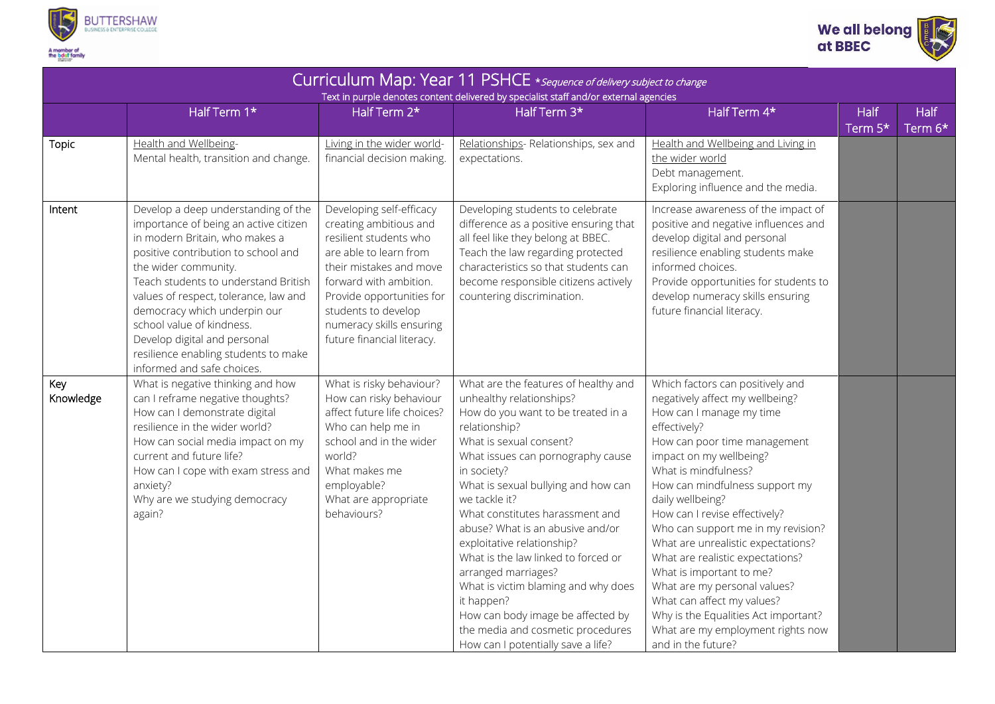



| Curriculum Map: Year 11 PSHCE * sequence of delivery subject to change<br>Text in purple denotes content delivered by specialist staff and/or external agencies |                                                                                                                                                                                                                                                                                                                                                                                                                                   |                                                                                                                                                                                                                                                                           |                                                                                                                                                                                                                                                                                                                                                                                                                                                                                                                                                                                                        |                                                                                                                                                                                                                                                                                                                                                                                                                                                                                                                                                                                                        |                          |                        |  |  |  |  |  |
|-----------------------------------------------------------------------------------------------------------------------------------------------------------------|-----------------------------------------------------------------------------------------------------------------------------------------------------------------------------------------------------------------------------------------------------------------------------------------------------------------------------------------------------------------------------------------------------------------------------------|---------------------------------------------------------------------------------------------------------------------------------------------------------------------------------------------------------------------------------------------------------------------------|--------------------------------------------------------------------------------------------------------------------------------------------------------------------------------------------------------------------------------------------------------------------------------------------------------------------------------------------------------------------------------------------------------------------------------------------------------------------------------------------------------------------------------------------------------------------------------------------------------|--------------------------------------------------------------------------------------------------------------------------------------------------------------------------------------------------------------------------------------------------------------------------------------------------------------------------------------------------------------------------------------------------------------------------------------------------------------------------------------------------------------------------------------------------------------------------------------------------------|--------------------------|------------------------|--|--|--|--|--|
|                                                                                                                                                                 | Half Term 1*                                                                                                                                                                                                                                                                                                                                                                                                                      | Half Term 2*                                                                                                                                                                                                                                                              | Half Term 3*                                                                                                                                                                                                                                                                                                                                                                                                                                                                                                                                                                                           | Half Term 4*                                                                                                                                                                                                                                                                                                                                                                                                                                                                                                                                                                                           | Half<br>Term $5^{\star}$ | <b>Half</b><br>Term 6* |  |  |  |  |  |
| <b>Topic</b>                                                                                                                                                    | Health and Wellbeing-<br>Mental health, transition and change.                                                                                                                                                                                                                                                                                                                                                                    | Living in the wider world-<br>financial decision making.                                                                                                                                                                                                                  | Relationships-Relationships, sex and<br>expectations.                                                                                                                                                                                                                                                                                                                                                                                                                                                                                                                                                  | Health and Wellbeing and Living in<br>the wider world<br>Debt management.<br>Exploring influence and the media.                                                                                                                                                                                                                                                                                                                                                                                                                                                                                        |                          |                        |  |  |  |  |  |
| Intent                                                                                                                                                          | Develop a deep understanding of the<br>importance of being an active citizen<br>in modern Britain, who makes a<br>positive contribution to school and<br>the wider community.<br>Teach students to understand British<br>values of respect, tolerance, law and<br>democracy which underpin our<br>school value of kindness.<br>Develop digital and personal<br>resilience enabling students to make<br>informed and safe choices. | Developing self-efficacy<br>creating ambitious and<br>resilient students who<br>are able to learn from<br>their mistakes and move<br>forward with ambition.<br>Provide opportunities for<br>students to develop<br>numeracy skills ensuring<br>future financial literacy. | Developing students to celebrate<br>difference as a positive ensuring that<br>all feel like they belong at BBEC.<br>Teach the law regarding protected<br>characteristics so that students can<br>become responsible citizens actively<br>countering discrimination.                                                                                                                                                                                                                                                                                                                                    | Increase awareness of the impact of<br>positive and negative influences and<br>develop digital and personal<br>resilience enabling students make<br>informed choices.<br>Provide opportunities for students to<br>develop numeracy skills ensuring<br>future financial literacy.                                                                                                                                                                                                                                                                                                                       |                          |                        |  |  |  |  |  |
| Key<br>Knowledge                                                                                                                                                | What is negative thinking and how<br>can I reframe negative thoughts?<br>How can I demonstrate digital<br>resilience in the wider world?<br>How can social media impact on my<br>current and future life?<br>How can I cope with exam stress and<br>anxiety?<br>Why are we studying democracy<br>again?                                                                                                                           | What is risky behaviour?<br>How can risky behaviour<br>affect future life choices?<br>Who can help me in<br>school and in the wider<br>world?<br>What makes me<br>employable?<br>What are appropriate<br>behaviours?                                                      | What are the features of healthy and<br>unhealthy relationships?<br>How do you want to be treated in a<br>relationship?<br>What is sexual consent?<br>What issues can pornography cause<br>in society?<br>What is sexual bullying and how can<br>we tackle it?<br>What constitutes harassment and<br>abuse? What is an abusive and/or<br>exploitative relationship?<br>What is the law linked to forced or<br>arranged marriages?<br>What is victim blaming and why does<br>it happen?<br>How can body image be affected by<br>the media and cosmetic procedures<br>How can I potentially save a life? | Which factors can positively and<br>negatively affect my wellbeing?<br>How can I manage my time<br>effectively?<br>How can poor time management<br>impact on my wellbeing?<br>What is mindfulness?<br>How can mindfulness support my<br>daily wellbeing?<br>How can I revise effectively?<br>Who can support me in my revision?<br>What are unrealistic expectations?<br>What are realistic expectations?<br>What is important to me?<br>What are my personal values?<br>What can affect my values?<br>Why is the Equalities Act important?<br>What are my employment rights now<br>and in the future? |                          |                        |  |  |  |  |  |